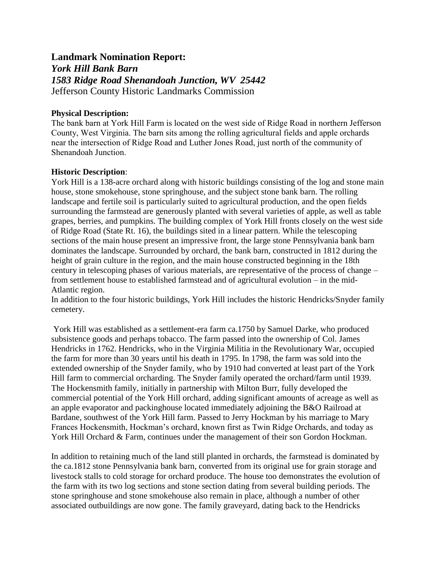## **Landmark Nomination Report:**

# *York Hill Bank Barn 1583 Ridge Road Shenandoah Junction, WV 25442* Jefferson County Historic Landmarks Commission

## **Physical Description:**

The bank barn at York Hill Farm is located on the west side of Ridge Road in northern Jefferson County, West Virginia. The barn sits among the rolling agricultural fields and apple orchards near the intersection of Ridge Road and Luther Jones Road, just north of the community of Shenandoah Junction.

## **Historic Description**:

York Hill is a 138-acre orchard along with historic buildings consisting of the log and stone main house, stone smokehouse, stone springhouse, and the subject stone bank barn. The rolling landscape and fertile soil is particularly suited to agricultural production, and the open fields surrounding the farmstead are generously planted with several varieties of apple, as well as table grapes, berries, and pumpkins. The building complex of York Hill fronts closely on the west side of Ridge Road (State Rt. 16), the buildings sited in a linear pattern. While the telescoping sections of the main house present an impressive front, the large stone Pennsylvania bank barn dominates the landscape. Surrounded by orchard, the bank barn, constructed in 1812 during the height of grain culture in the region, and the main house constructed beginning in the 18th century in telescoping phases of various materials, are representative of the process of change – from settlement house to established farmstead and of agricultural evolution – in the mid-Atlantic region.

In addition to the four historic buildings, York Hill includes the historic Hendricks/Snyder family cemetery.

York Hill was established as a settlement-era farm ca.1750 by Samuel Darke, who produced subsistence goods and perhaps tobacco. The farm passed into the ownership of Col. James Hendricks in 1762. Hendricks, who in the Virginia Militia in the Revolutionary War, occupied the farm for more than 30 years until his death in 1795. In 1798, the farm was sold into the extended ownership of the Snyder family, who by 1910 had converted at least part of the York Hill farm to commercial orcharding. The Snyder family operated the orchard/farm until 1939. The Hockensmith family, initially in partnership with Milton Burr, fully developed the commercial potential of the York Hill orchard, adding significant amounts of acreage as well as an apple evaporator and packinghouse located immediately adjoining the B&O Railroad at Bardane, southwest of the York Hill farm. Passed to Jerry Hockman by his marriage to Mary Frances Hockensmith, Hockman's orchard, known first as Twin Ridge Orchards, and today as York Hill Orchard & Farm, continues under the management of their son Gordon Hockman.

In addition to retaining much of the land still planted in orchards, the farmstead is dominated by the ca.1812 stone Pennsylvania bank barn, converted from its original use for grain storage and livestock stalls to cold storage for orchard produce. The house too demonstrates the evolution of the farm with its two log sections and stone section dating from several building periods. The stone springhouse and stone smokehouse also remain in place, although a number of other associated outbuildings are now gone. The family graveyard, dating back to the Hendricks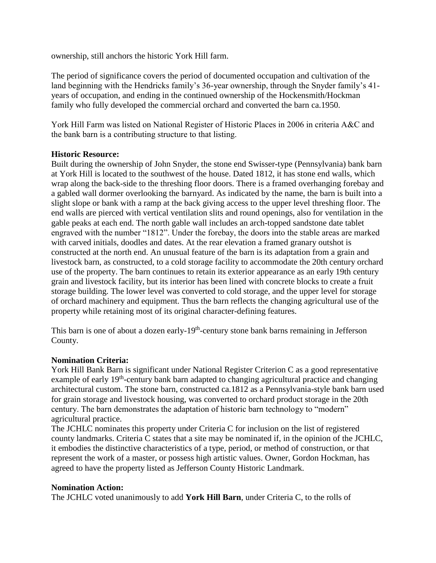ownership, still anchors the historic York Hill farm.

The period of significance covers the period of documented occupation and cultivation of the land beginning with the Hendricks family's 36-year ownership, through the Snyder family's 41 years of occupation, and ending in the continued ownership of the Hockensmith/Hockman family who fully developed the commercial orchard and converted the barn ca.1950.

York Hill Farm was listed on National Register of Historic Places in 2006 in criteria A&C and the bank barn is a contributing structure to that listing.

## **Historic Resource:**

Built during the ownership of John Snyder, the stone end Swisser-type (Pennsylvania) bank barn at York Hill is located to the southwest of the house. Dated 1812, it has stone end walls, which wrap along the back-side to the threshing floor doors. There is a framed overhanging forebay and a gabled wall dormer overlooking the barnyard. As indicated by the name, the barn is built into a slight slope or bank with a ramp at the back giving access to the upper level threshing floor. The end walls are pierced with vertical ventilation slits and round openings, also for ventilation in the gable peaks at each end. The north gable wall includes an arch-topped sandstone date tablet engraved with the number "1812". Under the forebay, the doors into the stable areas are marked with carved initials, doodles and dates. At the rear elevation a framed granary outshot is constructed at the north end. An unusual feature of the barn is its adaptation from a grain and livestock barn, as constructed, to a cold storage facility to accommodate the 20th century orchard use of the property. The barn continues to retain its exterior appearance as an early 19th century grain and livestock facility, but its interior has been lined with concrete blocks to create a fruit storage building. The lower level was converted to cold storage, and the upper level for storage of orchard machinery and equipment. Thus the barn reflects the changing agricultural use of the property while retaining most of its original character-defining features.

This barn is one of about a dozen early-19<sup>th</sup>-century stone bank barns remaining in Jefferson County.

### **Nomination Criteria:**

York Hill Bank Barn is significant under National Register Criterion C as a good representative example of early 19<sup>th</sup>-century bank barn adapted to changing agricultural practice and changing architectural custom. The stone barn, constructed ca.1812 as a Pennsylvania-style bank barn used for grain storage and livestock housing, was converted to orchard product storage in the 20th century. The barn demonstrates the adaptation of historic barn technology to "modern" agricultural practice.

The JCHLC nominates this property under Criteria C for inclusion on the list of registered county landmarks. Criteria C states that a site may be nominated if, in the opinion of the JCHLC, it embodies the distinctive characteristics of a type, period, or method of construction, or that represent the work of a master, or possess high artistic values. Owner, Gordon Hockman, has agreed to have the property listed as Jefferson County Historic Landmark.

### **Nomination Action:**

The JCHLC voted unanimously to add **York Hill Barn**, under Criteria C, to the rolls of